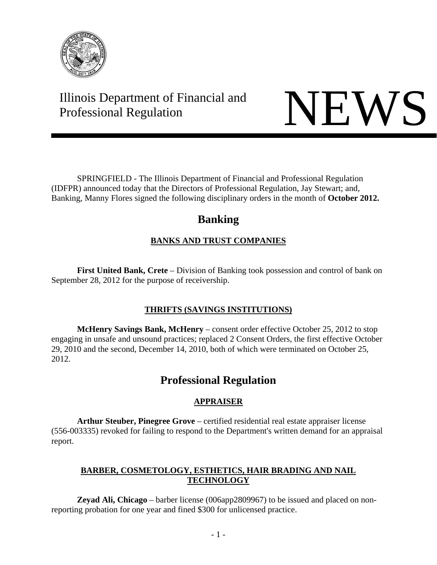

# Illinois Department of Financial and Illinois Department of Financial and<br>Professional Regulation



 SPRINGFIELD - The Illinois Department of Financial and Professional Regulation (IDFPR) announced today that the Directors of Professional Regulation, Jay Stewart; and, Banking, Manny Flores signed the following disciplinary orders in the month of **October 2012.**

## **Banking**

## **BANKS AND TRUST COMPANIES**

 **First United Bank, Crete** – Division of Banking took possession and control of bank on September 28, 2012 for the purpose of receivership.

## **THRIFTS (SAVINGS INSTITUTIONS)**

 **McHenry Savings Bank, McHenry** – consent order effective October 25, 2012 to stop engaging in unsafe and unsound practices; replaced 2 Consent Orders, the first effective October 29, 2010 and the second, December 14, 2010, both of which were terminated on October 25, 2012.

## **Professional Regulation**

## **APPRAISER**

 **Arthur Steuber, Pinegree Grove** – certified residential real estate appraiser license (556-003335) revoked for failing to respond to the Department's written demand for an appraisal report.

## **BARBER, COSMETOLOGY, ESTHETICS, HAIR BRADING AND NAIL TECHNOLOGY**

 **Zeyad Ali, Chicago** – barber license (006app2809967) to be issued and placed on nonreporting probation for one year and fined \$300 for unlicensed practice.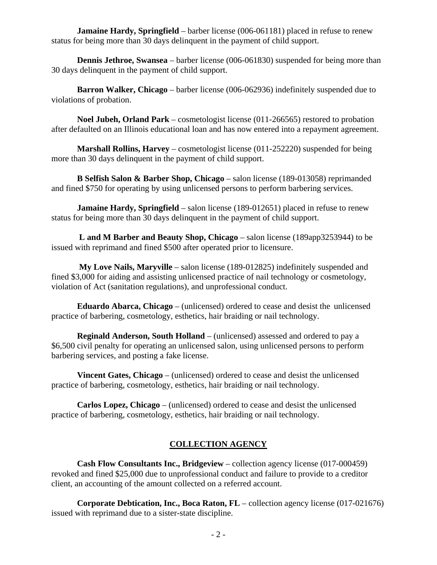**Jamaine Hardy, Springfield** – barber license (006-061181) placed in refuse to renew status for being more than 30 days delinquent in the payment of child support.

**Dennis Jethroe, Swansea** – barber license (006-061830) suspended for being more than 30 days delinquent in the payment of child support.

 **Barron Walker, Chicago** – barber license (006-062936) indefinitely suspended due to violations of probation.

 **Noel Jubeh, Orland Park** – cosmetologist license (011-266565) restored to probation after defaulted on an Illinois educational loan and has now entered into a repayment agreement.

 **Marshall Rollins, Harvey** – cosmetologist license (011-252220) suspended for being more than 30 days delinquent in the payment of child support.

 **B Selfish Salon & Barber Shop, Chicago** – salon license (189-013058) reprimanded and fined \$750 for operating by using unlicensed persons to perform barbering services.

**Jamaine Hardy, Springfield** – salon license (189-012651) placed in refuse to renew status for being more than 30 days delinquent in the payment of child support.

 **L and M Barber and Beauty Shop, Chicago** – salon license (189app3253944) to be issued with reprimand and fined \$500 after operated prior to licensure.

 **My Love Nails, Maryville** – salon license (189-012825) indefinitely suspended and fined \$3,000 for aiding and assisting unlicensed practice of nail technology or cosmetology, violation of Act (sanitation regulations), and unprofessional conduct.

 **Eduardo Abarca, Chicago** – (unlicensed) ordered to cease and desist the unlicensed practice of barbering, cosmetology, esthetics, hair braiding or nail technology.

 **Reginald Anderson, South Holland** – (unlicensed) assessed and ordered to pay a \$6,500 civil penalty for operating an unlicensed salon, using unlicensed persons to perform barbering services, and posting a fake license.

 **Vincent Gates, Chicago** – (unlicensed) ordered to cease and desist the unlicensed practice of barbering, cosmetology, esthetics, hair braiding or nail technology.

 **Carlos Lopez, Chicago** – (unlicensed) ordered to cease and desist the unlicensed practice of barbering, cosmetology, esthetics, hair braiding or nail technology.

## **COLLECTION AGENCY**

 **Cash Flow Consultants Inc., Bridgeview** – collection agency license (017-000459) revoked and fined \$25,000 due to unprofessional conduct and failure to provide to a creditor client, an accounting of the amount collected on a referred account.

 **Corporate Debtication, Inc., Boca Raton, FL** – collection agency license (017-021676) issued with reprimand due to a sister-state discipline.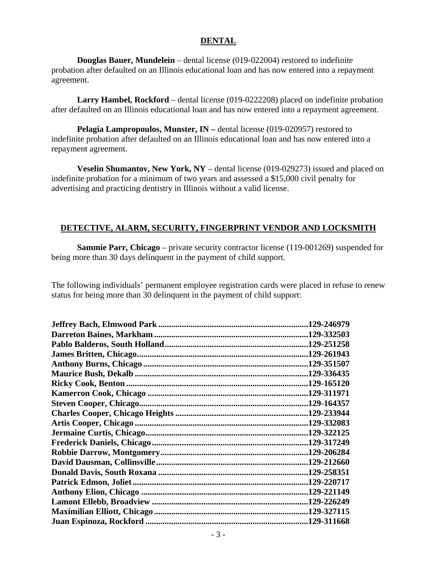#### **DENTAL**

 **Douglas Bauer, Mundelein** – dental license (019-022004) restored to indefinite probation after defaulted on an Illinois educational loan and has now entered into a repayment agreement.

 **Larry Hambel, Rockford** – dental license (019-0222208) placed on indefinite probation after defaulted on an Illinois educational loan and has now entered into a repayment agreement.

**Pelagia Lampropoulos, Munster, IN** – dental license (019-020957) restored to indefinite probation after defaulted on an Illinois educational loan and has now entered into a repayment agreement.

 **Veselin Shumantov, New York, NY** – dental license (019-029273) issued and placed on indefinite probation for a minimum of two years and assessed a \$15,000 civil penalty for advertising and practicing dentistry in Illinois without a valid license.

#### **DETECTIVE, ALARM, SECURITY, FINGERPRINT VENDOR AND LOCKSMITH**

**Sammie Parr, Chicago** – private security contractor license (119-001269) suspended for being more than 30 days delinquent in the payment of child support.

The following individuals' permanent employee registration cards were placed in refuse to renew status for being more than 30 delinquent in the payment of child support:

| 129-246979  |
|-------------|
| .129-332503 |
| .129-251258 |
| .129-261943 |
| .129-351507 |
| .129-336435 |
| .129-165120 |
| .129-311971 |
| .129-164357 |
| .129-233944 |
| .129-332083 |
| .129-322125 |
| .129-317249 |
| .129-206284 |
| .129-212660 |
| .129-258351 |
| .129-220717 |
|             |
| .129-226249 |
| 129-327115  |
| .129-311668 |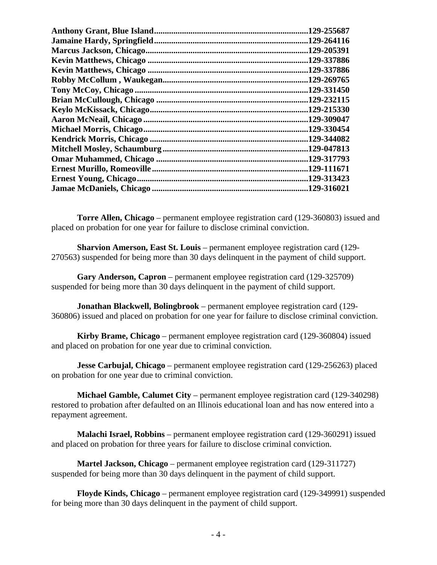| 129-255687  |
|-------------|
| .129-264116 |
| .129-205391 |
| .129-337886 |
| .129-337886 |
| .129-269765 |
| .129-331450 |
| .129-232115 |
| .129-215330 |
| .129-309047 |
| .129-330454 |
| .129-344082 |
| .129-047813 |
| .129-317793 |
| .129-111671 |
| .129-313423 |
| .129-316021 |
|             |

 **Torre Allen, Chicago** – permanent employee registration card (129-360803) issued and placed on probation for one year for failure to disclose criminal conviction.

 **Sharvion Amerson, East St. Louis** – permanent employee registration card (129- 270563) suspended for being more than 30 days delinquent in the payment of child support.

 **Gary Anderson, Capron** – permanent employee registration card (129-325709) suspended for being more than 30 days delinquent in the payment of child support.

 **Jonathan Blackwell, Bolingbrook** – permanent employee registration card (129- 360806) issued and placed on probation for one year for failure to disclose criminal conviction.

 **Kirby Brame, Chicago** – permanent employee registration card (129-360804) issued and placed on probation for one year due to criminal conviction.

 **Jesse Carbujal, Chicago** – permanent employee registration card (129-256263) placed on probation for one year due to criminal conviction.

 **Michael Gamble, Calumet City** – permanent employee registration card (129-340298) restored to probation after defaulted on an Illinois educational loan and has now entered into a repayment agreement.

 **Malachi Israel, Robbins** – permanent employee registration card (129-360291) issued and placed on probation for three years for failure to disclose criminal conviction.

 **Martel Jackson, Chicago** – permanent employee registration card (129-311727) suspended for being more than 30 days delinquent in the payment of child support.

 **Floyde Kinds, Chicago** – permanent employee registration card (129-349991) suspended for being more than 30 days delinquent in the payment of child support.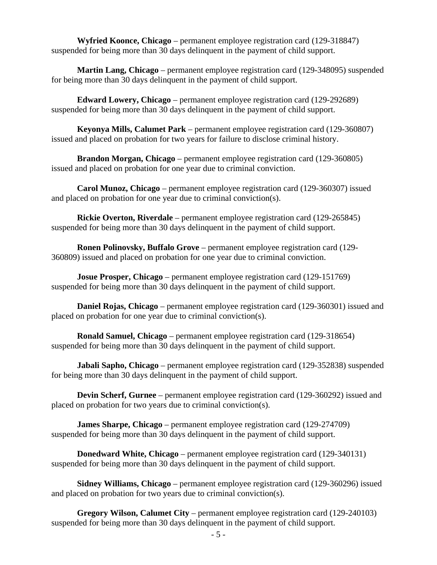**Wyfried Koonce, Chicago** – permanent employee registration card (129-318847) suspended for being more than 30 days delinquent in the payment of child support.

 **Martin Lang, Chicago** – permanent employee registration card (129-348095) suspended for being more than 30 days delinquent in the payment of child support.

 **Edward Lowery, Chicago** – permanent employee registration card (129-292689) suspended for being more than 30 days delinquent in the payment of child support.

 **Keyonya Mills, Calumet Park** – permanent employee registration card (129-360807) issued and placed on probation for two years for failure to disclose criminal history.

 **Brandon Morgan, Chicago** – permanent employee registration card (129-360805) issued and placed on probation for one year due to criminal conviction.

 **Carol Munoz, Chicago** – permanent employee registration card (129-360307) issued and placed on probation for one year due to criminal conviction(s).

 **Rickie Overton, Riverdale** – permanent employee registration card (129-265845) suspended for being more than 30 days delinquent in the payment of child support.

 **Ronen Polinovsky, Buffalo Grove** – permanent employee registration card (129- 360809) issued and placed on probation for one year due to criminal conviction.

 **Josue Prosper, Chicago** – permanent employee registration card (129-151769) suspended for being more than 30 days delinquent in the payment of child support.

 **Daniel Rojas, Chicago** – permanent employee registration card (129-360301) issued and placed on probation for one year due to criminal conviction(s).

 **Ronald Samuel, Chicago** – permanent employee registration card (129-318654) suspended for being more than 30 days delinquent in the payment of child support.

**Jabali Sapho, Chicago** – permanent employee registration card (129-352838) suspended for being more than 30 days delinquent in the payment of child support.

 **Devin Scherf, Gurnee** – permanent employee registration card (129-360292) issued and placed on probation for two years due to criminal conviction(s).

**James Sharpe, Chicago** – permanent employee registration card (129-274709) suspended for being more than 30 days delinquent in the payment of child support.

 **Donedward White, Chicago** – permanent employee registration card (129-340131) suspended for being more than 30 days delinquent in the payment of child support.

 **Sidney Williams, Chicago** – permanent employee registration card (129-360296) issued and placed on probation for two years due to criminal conviction(s).

 **Gregory Wilson, Calumet City** – permanent employee registration card (129-240103) suspended for being more than 30 days delinquent in the payment of child support.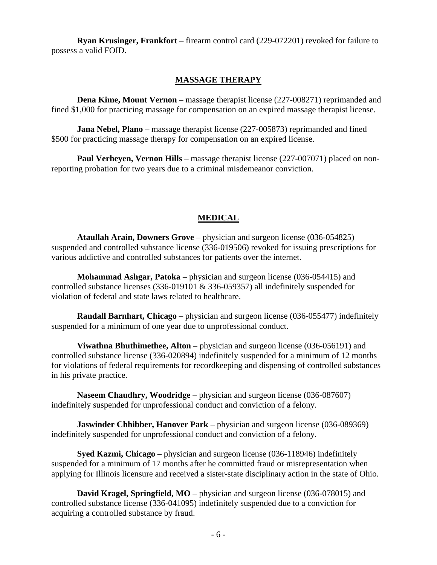**Ryan Krusinger, Frankfort** – firearm control card (229-072201) revoked for failure to possess a valid FOID.

#### **MASSAGE THERAPY**

**Dena Kime, Mount Vernon** – massage therapist license (227-008271) reprimanded and fined \$1,000 for practicing massage for compensation on an expired massage therapist license.

 **Jana Nebel, Plano** – massage therapist license (227-005873) reprimanded and fined \$500 for practicing massage therapy for compensation on an expired license.

**Paul Verheyen, Vernon Hills** – massage therapist license (227-007071) placed on nonreporting probation for two years due to a criminal misdemeanor conviction.

#### **MEDICAL**

 **Ataullah Arain, Downers Grove** – physician and surgeon license (036-054825) suspended and controlled substance license (336-019506) revoked for issuing prescriptions for various addictive and controlled substances for patients over the internet.

 **Mohammad Ashgar, Patoka** – physician and surgeon license (036-054415) and controlled substance licenses (336-019101 & 336-059357) all indefinitely suspended for violation of federal and state laws related to healthcare.

 **Randall Barnhart, Chicago** – physician and surgeon license (036-055477) indefinitely suspended for a minimum of one year due to unprofessional conduct.

 **Viwathna Bhuthimethee, Alton** – physician and surgeon license (036-056191) and controlled substance license (336-020894) indefinitely suspended for a minimum of 12 months for violations of federal requirements for recordkeeping and dispensing of controlled substances in his private practice.

**Naseem Chaudhry, Woodridge** – physician and surgeon license (036-087607) indefinitely suspended for unprofessional conduct and conviction of a felony.

**Jaswinder Chhibber, Hanover Park** – physician and surgeon license (036-089369) indefinitely suspended for unprofessional conduct and conviction of a felony.

 **Syed Kazmi, Chicago** – physician and surgeon license (036-118946) indefinitely suspended for a minimum of 17 months after he committed fraud or misrepresentation when applying for Illinois licensure and received a sister-state disciplinary action in the state of Ohio.

 **David Kragel, Springfield, MO** – physician and surgeon license (036-078015) and controlled substance license (336-041095) indefinitely suspended due to a conviction for acquiring a controlled substance by fraud.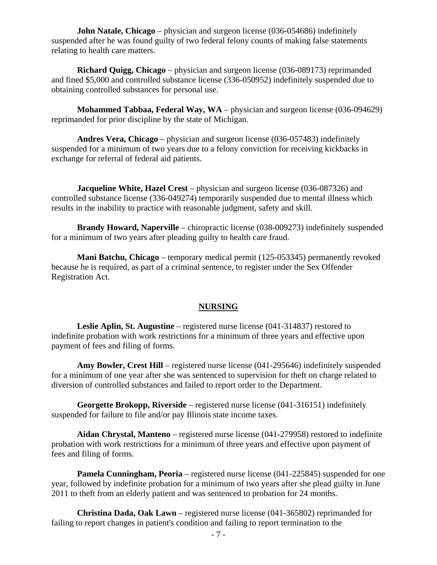**John Natale, Chicago** – physician and surgeon license (036-054686) indefinitely suspended after he was found guilty of two federal felony counts of making false statements relating to health care matters.

 **Richard Quigg, Chicago** – physician and surgeon license (036-089173) reprimanded and fined \$5,000 and controlled substance license (336-050952) indefinitely suspended due to obtaining controlled substances for personal use.

 **Mohammed Tabbaa, Federal Way, WA** – physician and surgeon license (036-094629) reprimanded for prior discipline by the state of Michigan.

 **Andres Vera, Chicago** – physician and surgeon license (036-057483) indefinitely suspended for a minimum of two years due to a felony conviction for receiving kickbacks in exchange for referral of federal aid patients.

**Jacqueline White, Hazel Crest** – physician and surgeon license (036-087326) and controlled substance license (336-049274) temporarily suspended due to mental illness which results in the inability to practice with reasonable judgment, safety and skill.

 **Brandy Howard, Naperville** – chiropractic license (038-009273) indefinitely suspended for a minimum of two years after pleading guilty to health care fraud.

 **Mani Batchu, Chicago** – temporary medical permit (125-053345) permanently revoked because he is required, as part of a criminal sentence, to register under the Sex Offender Registration Act.

#### **NURSING**

 **Leslie Aplin, St. Augustine** – registered nurse license (041-314837) restored to indefinite probation with work restrictions for a minimum of three years and effective upon payment of fees and filing of forms.

**Amy Bowler, Crest Hill** – registered nurse license (041-295646) indefinitely suspended for a minimum of one year after she was sentenced to supervision for theft on charge related to diversion of controlled substances and failed to report order to the Department.

 **Georgette Brokopp, Riverside** – registered nurse license (041-316151) indefinitely suspended for failure to file and/or pay Illinois state income taxes.

 **Aidan Chrystal, Manteno** – registered nurse license (041-279958) restored to indefinite probation with work restrictions for a minimum of three years and effective upon payment of fees and filing of forms.

 **Pamela Cunningham, Peoria** – registered nurse license (041-225845) suspended for one year, followed by indefinite probation for a minimum of two years after she plead guilty in June 2011 to theft from an elderly patient and was sentenced to probation for 24 months.

 **Christina Dada, Oak Lawn** – registered nurse license (041-365802) reprimanded for failing to report changes in patient's condition and failing to report termination to the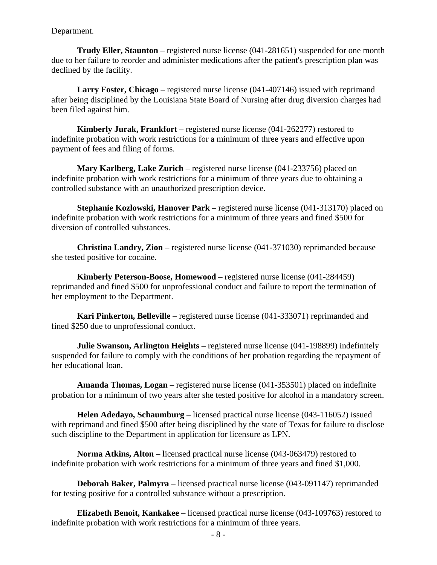Department.

 **Trudy Eller, Staunton** – registered nurse license (041-281651) suspended for one month due to her failure to reorder and administer medications after the patient's prescription plan was declined by the facility.

 **Larry Foster, Chicago** – registered nurse license (041-407146) issued with reprimand after being disciplined by the Louisiana State Board of Nursing after drug diversion charges had been filed against him.

 **Kimberly Jurak, Frankfort** – registered nurse license (041-262277) restored to indefinite probation with work restrictions for a minimum of three years and effective upon payment of fees and filing of forms.

 **Mary Karlberg, Lake Zurich** – registered nurse license (041-233756) placed on indefinite probation with work restrictions for a minimum of three years due to obtaining a controlled substance with an unauthorized prescription device.

 **Stephanie Kozlowski, Hanover Park** – registered nurse license (041-313170) placed on indefinite probation with work restrictions for a minimum of three years and fined \$500 for diversion of controlled substances.

 **Christina Landry, Zion** – registered nurse license (041-371030) reprimanded because she tested positive for cocaine.

 **Kimberly Peterson-Boose, Homewood** – registered nurse license (041-284459) reprimanded and fined \$500 for unprofessional conduct and failure to report the termination of her employment to the Department.

 **Kari Pinkerton, Belleville** – registered nurse license (041-333071) reprimanded and fined \$250 due to unprofessional conduct.

 **Julie Swanson, Arlington Heights** – registered nurse license (041-198899) indefinitely suspended for failure to comply with the conditions of her probation regarding the repayment of her educational loan.

 **Amanda Thomas, Logan** – registered nurse license (041-353501) placed on indefinite probation for a minimum of two years after she tested positive for alcohol in a mandatory screen.

 **Helen Adedayo, Schaumburg** – licensed practical nurse license (043-116052) issued with reprimand and fined \$500 after being disciplined by the state of Texas for failure to disclose such discipline to the Department in application for licensure as LPN.

 **Norma Atkins, Alton** – licensed practical nurse license (043-063479) restored to indefinite probation with work restrictions for a minimum of three years and fined \$1,000.

 **Deborah Baker, Palmyra** – licensed practical nurse license (043-091147) reprimanded for testing positive for a controlled substance without a prescription.

 **Elizabeth Benoit, Kankakee** – licensed practical nurse license (043-109763) restored to indefinite probation with work restrictions for a minimum of three years.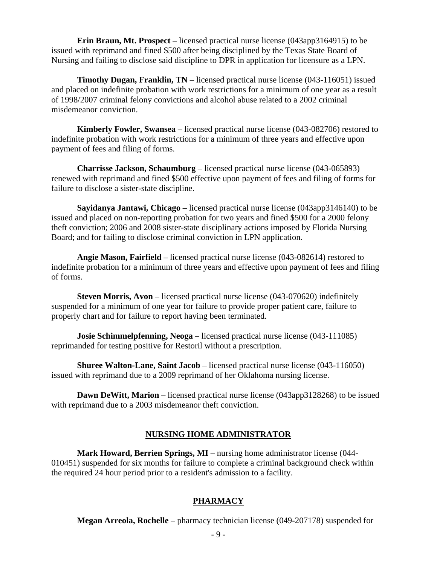**Erin Braun, Mt. Prospect** – licensed practical nurse license (043app3164915) to be issued with reprimand and fined \$500 after being disciplined by the Texas State Board of Nursing and failing to disclose said discipline to DPR in application for licensure as a LPN.

**Timothy Dugan, Franklin, TN** – licensed practical nurse license (043-116051) issued and placed on indefinite probation with work restrictions for a minimum of one year as a result of 1998/2007 criminal felony convictions and alcohol abuse related to a 2002 criminal misdemeanor conviction.

 **Kimberly Fowler, Swansea** – licensed practical nurse license (043-082706) restored to indefinite probation with work restrictions for a minimum of three years and effective upon payment of fees and filing of forms.

 **Charrisse Jackson, Schaumburg** – licensed practical nurse license (043-065893) renewed with reprimand and fined \$500 effective upon payment of fees and filing of forms for failure to disclose a sister-state discipline.

 **Sayidanya Jantawi, Chicago** – licensed practical nurse license (043app3146140) to be issued and placed on non-reporting probation for two years and fined \$500 for a 2000 felony theft conviction; 2006 and 2008 sister-state disciplinary actions imposed by Florida Nursing Board; and for failing to disclose criminal conviction in LPN application.

 **Angie Mason, Fairfield** – licensed practical nurse license (043-082614) restored to indefinite probation for a minimum of three years and effective upon payment of fees and filing of forms.

 **Steven Morris, Avon** – licensed practical nurse license (043-070620) indefinitely suspended for a minimum of one year for failure to provide proper patient care, failure to properly chart and for failure to report having been terminated.

**Josie Schimmelpfenning, Neoga** – licensed practical nurse license (043-111085) reprimanded for testing positive for Restoril without a prescription.

 **Shuree Walton-Lane, Saint Jacob** – licensed practical nurse license (043-116050) issued with reprimand due to a 2009 reprimand of her Oklahoma nursing license.

 **Dawn DeWitt, Marion** – licensed practical nurse license (043app3128268) to be issued with reprimand due to a 2003 misdemeanor theft conviction.

#### **NURSING HOME ADMINISTRATOR**

 **Mark Howard, Berrien Springs, MI** – nursing home administrator license (044- 010451) suspended for six months for failure to complete a criminal background check within the required 24 hour period prior to a resident's admission to a facility.

## **PHARMACY**

**Megan Arreola, Rochelle** – pharmacy technician license (049-207178) suspended for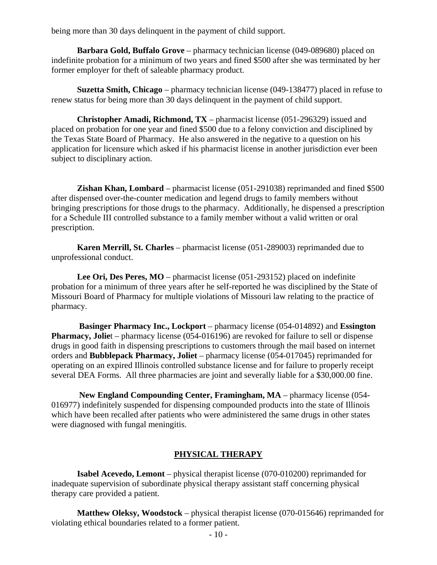being more than 30 days delinquent in the payment of child support.

 **Barbara Gold, Buffalo Grove** – pharmacy technician license (049-089680) placed on indefinite probation for a minimum of two years and fined \$500 after she was terminated by her former employer for theft of saleable pharmacy product.

 **Suzetta Smith, Chicago** – pharmacy technician license (049-138477) placed in refuse to renew status for being more than 30 days delinquent in the payment of child support.

 **Christopher Amadi, Richmond, TX** – pharmacist license (051-296329) issued and placed on probation for one year and fined \$500 due to a felony conviction and disciplined by the Texas State Board of Pharmacy. He also answered in the negative to a question on his application for licensure which asked if his pharmacist license in another jurisdiction ever been subject to disciplinary action.

**Zishan Khan, Lombard** – pharmacist license (051-291038) reprimanded and fined \$500 after dispensed over-the-counter medication and legend drugs to family members without bringing prescriptions for those drugs to the pharmacy. Additionally, he dispensed a prescription for a Schedule III controlled substance to a family member without a valid written or oral prescription.

 **Karen Merrill, St. Charles** – pharmacist license (051-289003) reprimanded due to unprofessional conduct.

 **Lee Ori, Des Peres, MO** – pharmacist license (051-293152) placed on indefinite probation for a minimum of three years after he self-reported he was disciplined by the State of Missouri Board of Pharmacy for multiple violations of Missouri law relating to the practice of pharmacy.

 **Basinger Pharmacy Inc., Lockport** – pharmacy license (054-014892) and **Essington Pharmacy, Joliet** – pharmacy license (054-016196) are revoked for failure to sell or dispense drugs in good faith in dispensing prescriptions to customers through the mail based on internet orders and **Bubblepack Pharmacy, Joliet** – pharmacy license (054-017045) reprimanded for operating on an expired Illinois controlled substance license and for failure to properly receipt several DEA Forms. All three pharmacies are joint and severally liable for a \$30,000.00 fine.

 **New England Compounding Center, Framingham, MA** – pharmacy license (054- 016977) indefinitely suspended for dispensing compounded products into the state of Illinois which have been recalled after patients who were administered the same drugs in other states were diagnosed with fungal meningitis.

#### **PHYSICAL THERAPY**

 **Isabel Acevedo, Lemont** – physical therapist license (070-010200) reprimanded for inadequate supervision of subordinate physical therapy assistant staff concerning physical therapy care provided a patient.

 **Matthew Oleksy, Woodstock** – physical therapist license (070-015646) reprimanded for violating ethical boundaries related to a former patient.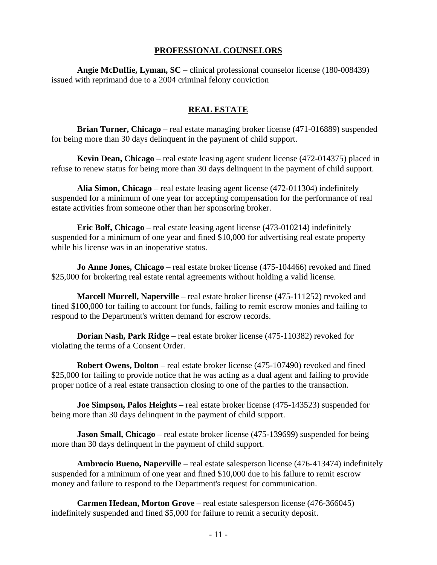#### **PROFESSIONAL COUNSELORS**

 **Angie McDuffie, Lyman, SC** – clinical professional counselor license (180-008439) issued with reprimand due to a 2004 criminal felony conviction

#### **REAL ESTATE**

 **Brian Turner, Chicago** – real estate managing broker license (471-016889) suspended for being more than 30 days delinquent in the payment of child support.

 **Kevin Dean, Chicago** – real estate leasing agent student license (472-014375) placed in refuse to renew status for being more than 30 days delinquent in the payment of child support.

 **Alia Simon, Chicago** – real estate leasing agent license (472-011304) indefinitely suspended for a minimum of one year for accepting compensation for the performance of real estate activities from someone other than her sponsoring broker.

 **Eric Bolf, Chicago** – real estate leasing agent license (473-010214) indefinitely suspended for a minimum of one year and fined \$10,000 for advertising real estate property while his license was in an inoperative status.

 **Jo Anne Jones, Chicago** – real estate broker license (475-104466) revoked and fined \$25,000 for brokering real estate rental agreements without holding a valid license.

 **Marcell Murrell, Naperville** – real estate broker license (475-111252) revoked and fined \$100,000 for failing to account for funds, failing to remit escrow monies and failing to respond to the Department's written demand for escrow records.

 **Dorian Nash, Park Ridge** – real estate broker license (475-110382) revoked for violating the terms of a Consent Order.

 **Robert Owens, Dolton** – real estate broker license (475-107490) revoked and fined \$25,000 for failing to provide notice that he was acting as a dual agent and failing to provide proper notice of a real estate transaction closing to one of the parties to the transaction.

 **Joe Simpson, Palos Heights** – real estate broker license (475-143523) suspended for being more than 30 days delinquent in the payment of child support.

**Jason Small, Chicago** – real estate broker license (475-139699) suspended for being more than 30 days delinquent in the payment of child support.

 **Ambrocio Bueno, Naperville** – real estate salesperson license (476-413474) indefinitely suspended for a minimum of one year and fined \$10,000 due to his failure to remit escrow money and failure to respond to the Department's request for communication.

 **Carmen Hedean, Morton Grove** – real estate salesperson license (476-366045) indefinitely suspended and fined \$5,000 for failure to remit a security deposit.